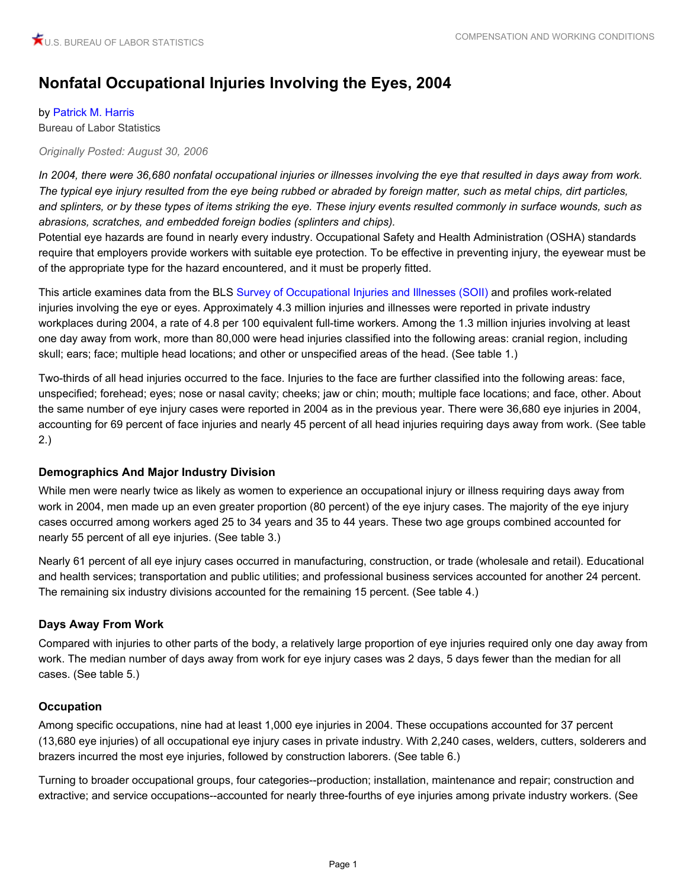# **Nonfatal Occupational Injuries Involving the Eyes, 2004**

#### by [Patrick M. Harris](#page-1-0)

Bureau of Labor Statistics

#### *Originally Posted: August 30, 2006*

*In 2004, there were 36,680 nonfatal occupational injuries or illnesses involving the eye that resulted in days away from work. The typical eye injury resulted from the eye being rubbed or abraded by foreign matter, such as metal chips, dirt particles, and splinters, or by these types of items striking the eye. These injury events resulted commonly in surface wounds, such as abrasions, scratches, and embedded foreign bodies (splinters and chips).*

Potential eye hazards are found in nearly every industry. Occupational Safety and Health Administration (OSHA) standards require that employers provide workers with suitable eye protection. To be effective in preventing injury, the eyewear must be of the appropriate type for the hazard encountered, and it must be properly fitted.

This article examines data from the BLS [Survey of Occupational Injuries and Illnesses \(SOII\)](http://www.bls.gov/iif/home.htm) and profiles work-related injuries involving the eye or eyes. Approximately 4.3 million injuries and illnesses were reported in private industry workplaces during 2004, a rate of 4.8 per 100 equivalent full-time workers. Among the 1.3 million injuries involving at least one day away from work, more than 80,000 were head injuries classified into the following areas: cranial region, including skull; ears; face; multiple head locations; and other or unspecified areas of the head. (See table 1.)

Two-thirds of all head injuries occurred to the face. Injuries to the face are further classified into the following areas: face, unspecified; forehead; eyes; nose or nasal cavity; cheeks; jaw or chin; mouth; multiple face locations; and face, other. About the same number of eye injury cases were reported in 2004 as in the previous year. There were 36,680 eye injuries in 2004, accounting for 69 percent of face injuries and nearly 45 percent of all head injuries requiring days away from work. (See table 2.)

## **Demographics And Major Industry Division**

While men were nearly twice as likely as women to experience an occupational injury or illness requiring days away from work in 2004, men made up an even greater proportion (80 percent) of the eye injury cases. The majority of the eye injury cases occurred among workers aged 25 to 34 years and 35 to 44 years. These two age groups combined accounted for nearly 55 percent of all eye injuries. (See table 3.)

Nearly 61 percent of all eye injury cases occurred in manufacturing, construction, or trade (wholesale and retail). Educational and health services; transportation and public utilities; and professional business services accounted for another 24 percent. The remaining six industry divisions accounted for the remaining 15 percent. (See table 4.)

# **Days Away From Work**

Compared with injuries to other parts of the body, a relatively large proportion of eye injuries required only one day away from work. The median number of days away from work for eye injury cases was 2 days, 5 days fewer than the median for all cases. (See table 5.)

## **Occupation**

Among specific occupations, nine had at least 1,000 eye injuries in 2004. These occupations accounted for 37 percent (13,680 eye injuries) of all occupational eye injury cases in private industry. With 2,240 cases, welders, cutters, solderers and brazers incurred the most eye injuries, followed by construction laborers. (See table 6.)

Turning to broader occupational groups, four categories--production; installation, maintenance and repair; construction and extractive; and service occupations--accounted for nearly three-fourths of eye injuries among private industry workers. (See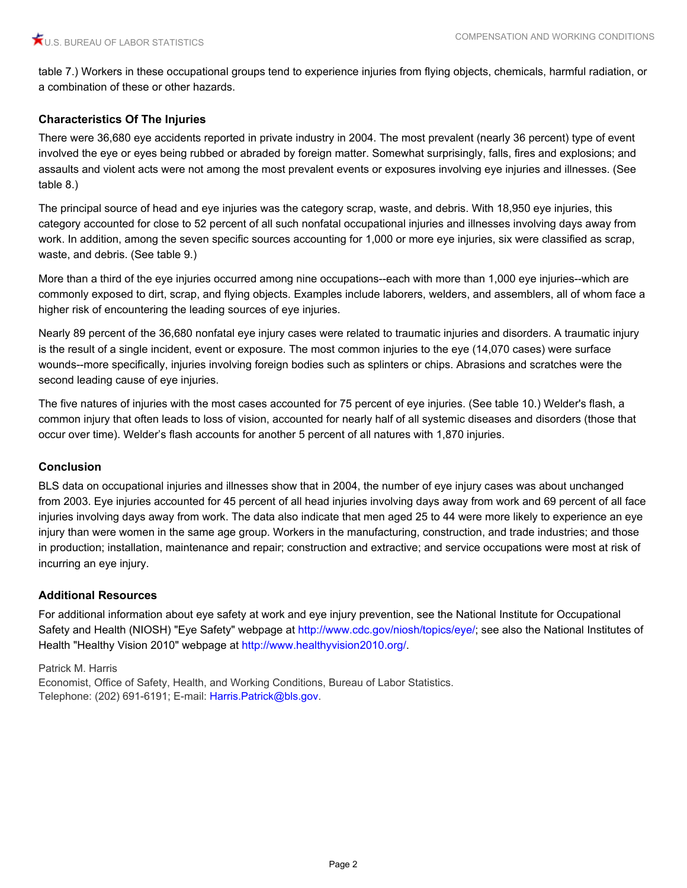table 7.) Workers in these occupational groups tend to experience injuries from flying objects, chemicals, harmful radiation, or a combination of these or other hazards.

# **Characteristics Of The Injuries**

There were 36,680 eye accidents reported in private industry in 2004. The most prevalent (nearly 36 percent) type of event involved the eye or eyes being rubbed or abraded by foreign matter. Somewhat surprisingly, falls, fires and explosions; and assaults and violent acts were not among the most prevalent events or exposures involving eye injuries and illnesses. (See table 8.)

The principal source of head and eye injuries was the category scrap, waste, and debris. With 18,950 eye injuries, this category accounted for close to 52 percent of all such nonfatal occupational injuries and illnesses involving days away from work. In addition, among the seven specific sources accounting for 1,000 or more eye injuries, six were classified as scrap, waste, and debris. (See table 9.)

More than a third of the eye injuries occurred among nine occupations--each with more than 1,000 eye injuries--which are commonly exposed to dirt, scrap, and flying objects. Examples include laborers, welders, and assemblers, all of whom face a higher risk of encountering the leading sources of eye injuries.

Nearly 89 percent of the 36,680 nonfatal eye injury cases were related to traumatic injuries and disorders. A traumatic injury is the result of a single incident, event or exposure. The most common injuries to the eye (14,070 cases) were surface wounds--more specifically, injuries involving foreign bodies such as splinters or chips. Abrasions and scratches were the second leading cause of eye injuries.

The five natures of injuries with the most cases accounted for 75 percent of eye injuries. (See table 10.) Welder's flash, a common injury that often leads to loss of vision, accounted for nearly half of all systemic diseases and disorders (those that occur over time). Welder's flash accounts for another 5 percent of all natures with 1,870 injuries.

## **Conclusion**

BLS data on occupational injuries and illnesses show that in 2004, the number of eye injury cases was about unchanged from 2003. Eye injuries accounted for 45 percent of all head injuries involving days away from work and 69 percent of all face injuries involving days away from work. The data also indicate that men aged 25 to 44 were more likely to experience an eye injury than were women in the same age group. Workers in the manufacturing, construction, and trade industries; and those in production; installation, maintenance and repair; construction and extractive; and service occupations were most at risk of incurring an eye injury.

## **Additional Resources**

For additional information about eye safety at work and eye injury prevention, see the National Institute for Occupational Safety and Health (NIOSH) "Eye Safety" webpage at [http://www.cdc.gov/niosh/topics/eye/;](http://www.cdc.gov/niosh/topics/eye/) see also the National Institutes of Health "Healthy Vision 2010" webpage at <http://www.healthyvision2010.org/>.

<span id="page-1-0"></span>Patrick M. Harris

Economist, Office of Safety, Health, and Working Conditions, Bureau of Labor Statistics. Telephone: (202) 691-6191; E-mail: [Harris.Patrick@bls.gov.](mailto:Harris.Patrick@bls.gov)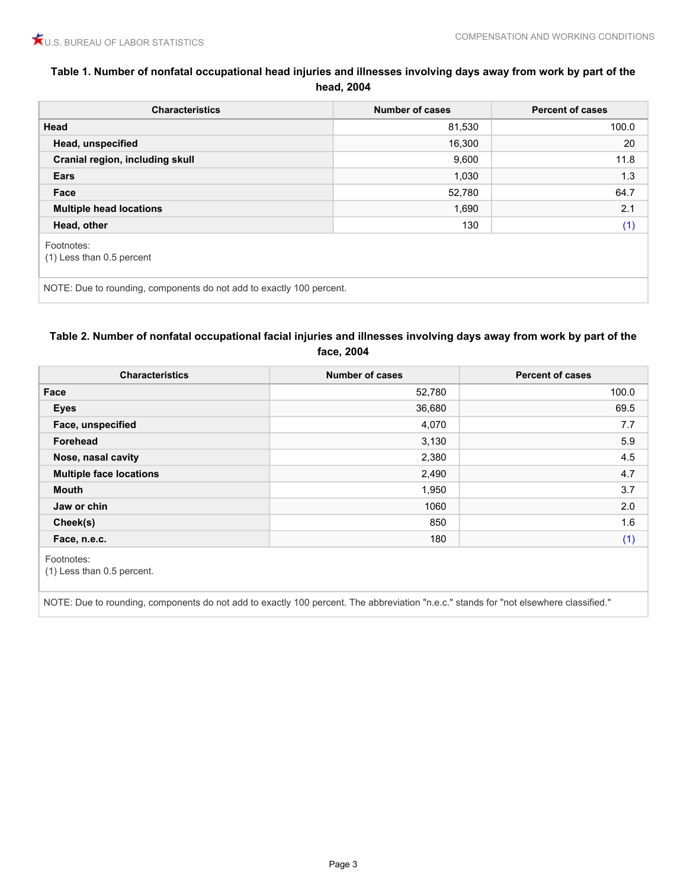# **Table 1. Number of nonfatal occupational head injuries and illnesses involving days away from work by part of the head, 2004**

# <span id="page-2-0"></span>**Table 2. Number of nonfatal occupational facial injuries and illnesses involving days away from work by part of the face, 2004**

| Face<br>52,780<br>36,680<br>Eyes<br>4,070<br>Face, unspecified<br>3,130<br>Forehead<br>2,380<br>Nose, nasal cavity | 100.0<br>69.5<br>7.7<br>5.9 |
|--------------------------------------------------------------------------------------------------------------------|-----------------------------|
|                                                                                                                    |                             |
|                                                                                                                    |                             |
|                                                                                                                    |                             |
|                                                                                                                    |                             |
|                                                                                                                    | 4.5                         |
| <b>Multiple face locations</b><br>2,490                                                                            | 4.7                         |
| <b>Mouth</b><br>1,950                                                                                              | 3.7                         |
| 1060<br>Jaw or chin                                                                                                | 2.0                         |
| 850<br>Cheek(s)                                                                                                    | 1.6                         |
| 180<br>Face, n.e.c.                                                                                                | (1)                         |

<span id="page-2-1"></span>NOTE: Due to rounding, components do not add to exactly 100 percent. The abbreviation "n.e.c." stands for "not elsewhere classified."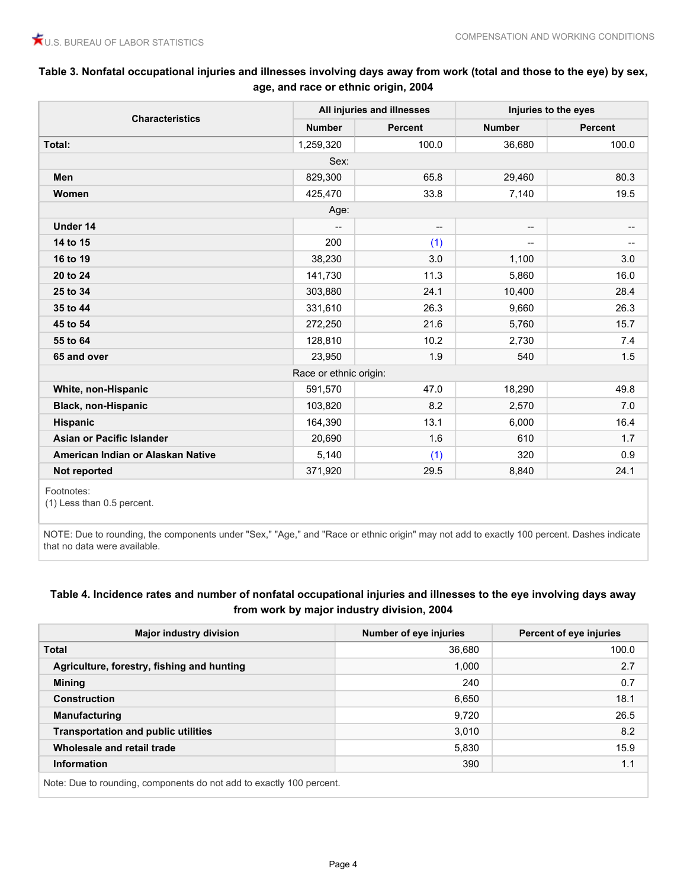# **Table 3. Nonfatal occupational injuries and illnesses involving days away from work (total and those to the eye) by sex, age, and race or ethnic origin, 2004**

|                                   |                        | All injuries and illnesses |                          | Injuries to the eyes     |  |
|-----------------------------------|------------------------|----------------------------|--------------------------|--------------------------|--|
| <b>Characteristics</b>            | <b>Number</b>          | Percent                    | <b>Number</b>            | Percent                  |  |
| Total:                            | 1,259,320              | 100.0                      | 36,680                   | 100.0                    |  |
|                                   | Sex:                   |                            |                          |                          |  |
| <b>Men</b>                        | 829,300                | 65.8                       | 29,460                   | 80.3                     |  |
| <b>Women</b>                      | 425,470                | 33.8                       | 7,140                    | 19.5                     |  |
|                                   | Age:                   |                            |                          |                          |  |
| Under 14                          | --                     | $\overline{\phantom{a}}$   | $\overline{\phantom{a}}$ | $\overline{\phantom{a}}$ |  |
| 14 to 15                          | 200                    | (1)                        | $\overline{\phantom{a}}$ | $\qquad \qquad \cdots$   |  |
| 16 to 19                          | 38,230                 | 3.0                        | 1,100                    | 3.0                      |  |
| 20 to 24                          | 141,730                | 11.3                       | 5,860                    | 16.0                     |  |
| 25 to 34                          | 303,880                | 24.1                       | 10,400                   | 28.4                     |  |
| 35 to 44                          | 331,610                | 26.3                       | 9,660                    | 26.3                     |  |
| 45 to 54                          | 272,250                | 21.6                       | 5,760                    | 15.7                     |  |
| 55 to 64                          | 128,810                | 10.2                       | 2,730                    | 7.4                      |  |
| 65 and over                       | 23,950                 | 1.9                        | 540                      | 1.5                      |  |
|                                   | Race or ethnic origin: |                            |                          |                          |  |
| White, non-Hispanic               | 591,570                | 47.0                       | 18,290                   | 49.8                     |  |
| <b>Black, non-Hispanic</b>        | 103,820                | 8.2                        | 2,570                    | 7.0                      |  |
| Hispanic                          | 164,390                | 13.1                       | 6,000                    | 16.4                     |  |
| Asian or Pacific Islander         | 20,690                 | 1.6                        | 610                      | 1.7                      |  |
| American Indian or Alaskan Native | 5,140                  | (1)                        | 320                      | 0.9                      |  |
| Not reported                      | 371,920                | 29.5                       | 8,840                    | 24.1                     |  |

Footnotes:

<span id="page-3-0"></span>(1) Less than 0.5 percent.

NOTE: Due to rounding, the components under "Sex," "Age," and "Race or ethnic origin" may not add to exactly 100 percent. Dashes indicate that no data were available.

# **Table 4. Incidence rates and number of nonfatal occupational injuries and illnesses to the eye involving days away from work by major industry division, 2004**

| <b>Major industry division</b>             | Number of eye injuries | Percent of eye injuries |
|--------------------------------------------|------------------------|-------------------------|
| <b>Total</b>                               | 36,680                 | 100.0                   |
| Agriculture, forestry, fishing and hunting | 000,                   | 2.7                     |
| <b>Mining</b>                              | 240                    | 0.7                     |
| <b>Construction</b>                        | 6,650                  | 18.1                    |
| <b>Manufacturing</b>                       | 9,720                  | 26.5                    |
| <b>Transportation and public utilities</b> | 3,010                  | 8.2                     |
| Wholesale and retail trade                 | 5,830                  | 15.9                    |
| <b>Information</b>                         | 390                    | 1.1                     |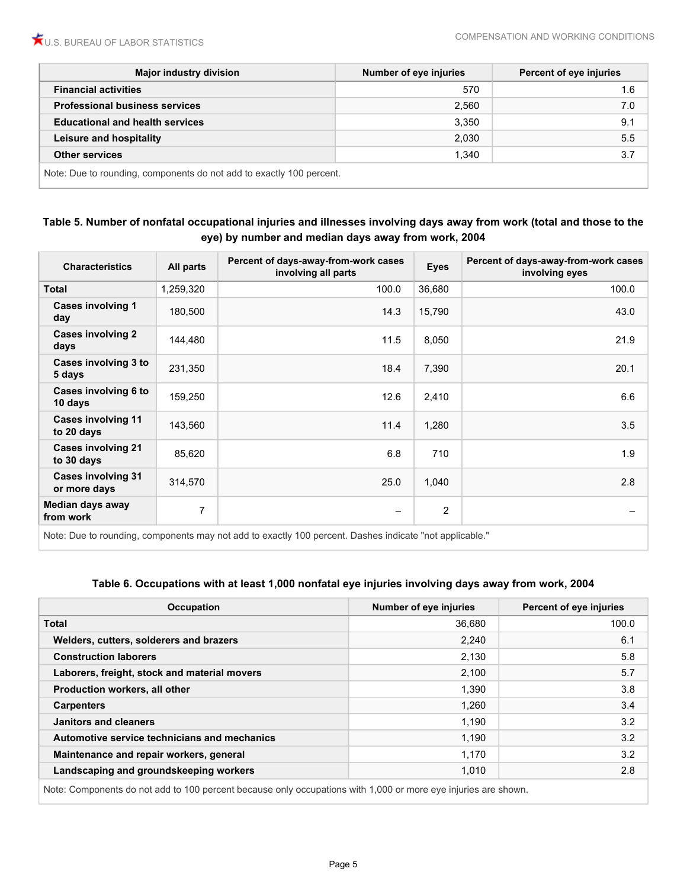| <b>Major industry division</b>                                       | Number of eye injuries | <b>Percent of eye injuries</b> |
|----------------------------------------------------------------------|------------------------|--------------------------------|
| <b>Financial activities</b>                                          | 570                    | 1.6                            |
| <b>Professional business services</b>                                | 2,560                  | 7.0                            |
| <b>Educational and health services</b>                               | 3,350                  | 9.1                            |
| Leisure and hospitality                                              | 2,030                  | 5.5                            |
| <b>Other services</b>                                                | 1,340                  | 3.7                            |
| Note: Due to rounding, components do not add to exactly 100 percent. |                        |                                |

## **Table 5. Number of nonfatal occupational injuries and illnesses involving days away from work (total and those to the eye) by number and median days away from work, 2004**

| <b>Characteristics</b>                    | All parts      | Percent of days-away-from-work cases<br>involving all parts | <b>Eyes</b>    | Percent of days-away-from-work cases<br>involving eyes |
|-------------------------------------------|----------------|-------------------------------------------------------------|----------------|--------------------------------------------------------|
| <b>Total</b>                              | 1,259,320      | 100.0                                                       | 36,680         | 100.0                                                  |
| <b>Cases involving 1</b><br>day           | 180,500        | 14.3                                                        | 15,790         | 43.0                                                   |
| <b>Cases involving 2</b><br>days          | 144,480        | 11.5                                                        | 8,050          | 21.9                                                   |
| Cases involving 3 to<br>5 days            | 231,350        | 18.4                                                        | 7,390          | 20.1                                                   |
| Cases involving 6 to<br>10 days           | 159,250        | 12.6                                                        | 2,410          | 6.6                                                    |
| <b>Cases involving 11</b><br>to 20 days   | 143,560        | 11.4                                                        | 1,280          | 3.5                                                    |
| <b>Cases involving 21</b><br>to 30 days   | 85,620         | 6.8                                                         | 710            | 1.9                                                    |
| <b>Cases involving 31</b><br>or more days | 314,570        | 25.0                                                        | 1,040          | 2.8                                                    |
| Median days away<br>from work             | $\overline{7}$ | $\overline{\phantom{m}}$                                    | $\overline{c}$ | $\overline{\phantom{0}}$                               |

Note: Due to rounding, components may not add to exactly 100 percent. Dashes indicate "not applicable."

#### **Table 6. Occupations with at least 1,000 nonfatal eye injuries involving days away from work, 2004**

| <b>Occupation</b>                                                                                             | Number of eye injuries | Percent of eye injuries |
|---------------------------------------------------------------------------------------------------------------|------------------------|-------------------------|
| <b>Total</b>                                                                                                  | 36,680                 | 100.0                   |
| Welders, cutters, solderers and brazers                                                                       | 2,240                  | 6.1                     |
| <b>Construction laborers</b>                                                                                  | 2,130                  | 5.8                     |
| Laborers, freight, stock and material movers                                                                  | 2,100                  | 5.7                     |
| Production workers, all other                                                                                 | 1.390                  | 3.8                     |
| <b>Carpenters</b>                                                                                             | 1,260                  | 3.4                     |
| Janitors and cleaners                                                                                         | 1,190                  | 3.2                     |
| Automotive service technicians and mechanics                                                                  | 1,190                  | 3.2                     |
| Maintenance and repair workers, general                                                                       | 1,170                  | 3.2                     |
| Landscaping and groundskeeping workers                                                                        | 1,010                  | 2.8                     |
| Note: Components do not add to 100 percent because only occupations with 1,000 or more eve injuries are shown |                        |                         |

le: Components do not add to 100 percent because only occupations with 1,000 or more eye injuries are shown.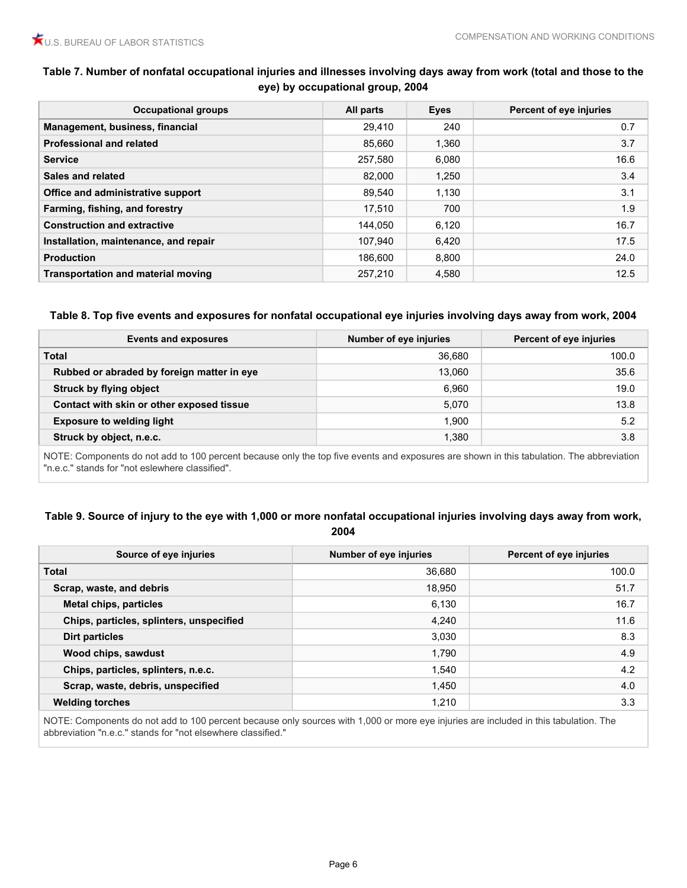# **Table 7. Number of nonfatal occupational injuries and illnesses involving days away from work (total and those to the eye) by occupational group, 2004**

| <b>Occupational groups</b>                | All parts | <b>Eyes</b> | Percent of eye injuries |
|-------------------------------------------|-----------|-------------|-------------------------|
| Management, business, financial           | 29.410    | 240         | 0.7                     |
| <b>Professional and related</b>           | 85.660    | 1,360       | 3.7                     |
| <b>Service</b>                            | 257,580   | 6,080       | 16.6                    |
| Sales and related                         | 82,000    | 1,250       | 3.4                     |
| Office and administrative support         | 89.540    | 1.130       | 3.1                     |
| Farming, fishing, and forestry            | 17.510    | 700         | 1.9                     |
| <b>Construction and extractive</b>        | 144.050   | 6,120       | 16.7                    |
| Installation, maintenance, and repair     | 107.940   | 6,420       | 17.5                    |
| <b>Production</b>                         | 186.600   | 8,800       | 24.0                    |
| <b>Transportation and material moving</b> | 257.210   | 4,580       | 12.5                    |

#### **Table 8. Top five events and exposures for nonfatal occupational eye injuries involving days away from work, 2004**

| Events and exposures                       | Number of eye injuries | <b>Percent of eye injuries</b> |
|--------------------------------------------|------------------------|--------------------------------|
| <b>Total</b>                               | 36,680                 | 100.0                          |
| Rubbed or abraded by foreign matter in eye | 13.060                 | 35.6                           |
| <b>Struck by flying object</b>             | 6.960                  | 19.0                           |
| Contact with skin or other exposed tissue  | 5,070                  | 13.8                           |
| <b>Exposure to welding light</b>           | 1,900                  | 5.2                            |
| Struck by object, n.e.c.                   | 1,380                  | 3.8                            |

NOTE: Components do not add to 100 percent because only the top five events and exposures are shown in this tabulation. The abbreviation "n.e.c." stands for "not eslewhere classified".

#### **Table 9. Source of injury to the eye with 1,000 or more nonfatal occupational injuries involving days away from work, 2004**

| Source of eye injuries                   | Number of eye injuries | Percent of eye injuries |
|------------------------------------------|------------------------|-------------------------|
| <b>Total</b>                             | 36,680                 | 100.0                   |
| Scrap, waste, and debris                 | 18,950                 | 51.7                    |
| <b>Metal chips, particles</b>            | 6,130                  | 16.7                    |
| Chips, particles, splinters, unspecified | 4,240                  | 11.6                    |
| Dirt particles                           | 3,030                  | 8.3                     |
| Wood chips, sawdust                      | 1,790                  | 4.9                     |
| Chips, particles, splinters, n.e.c.      | 1,540                  | 4.2                     |
| Scrap, waste, debris, unspecified        | 1,450                  | 4.0                     |
| <b>Welding torches</b>                   | 1,210                  | 3.3                     |

NOTE: Components do not add to 100 percent because only sources with 1,000 or more eye injuries are included in this tabulation. The abbreviation "n.e.c." stands for "not elsewhere classified."